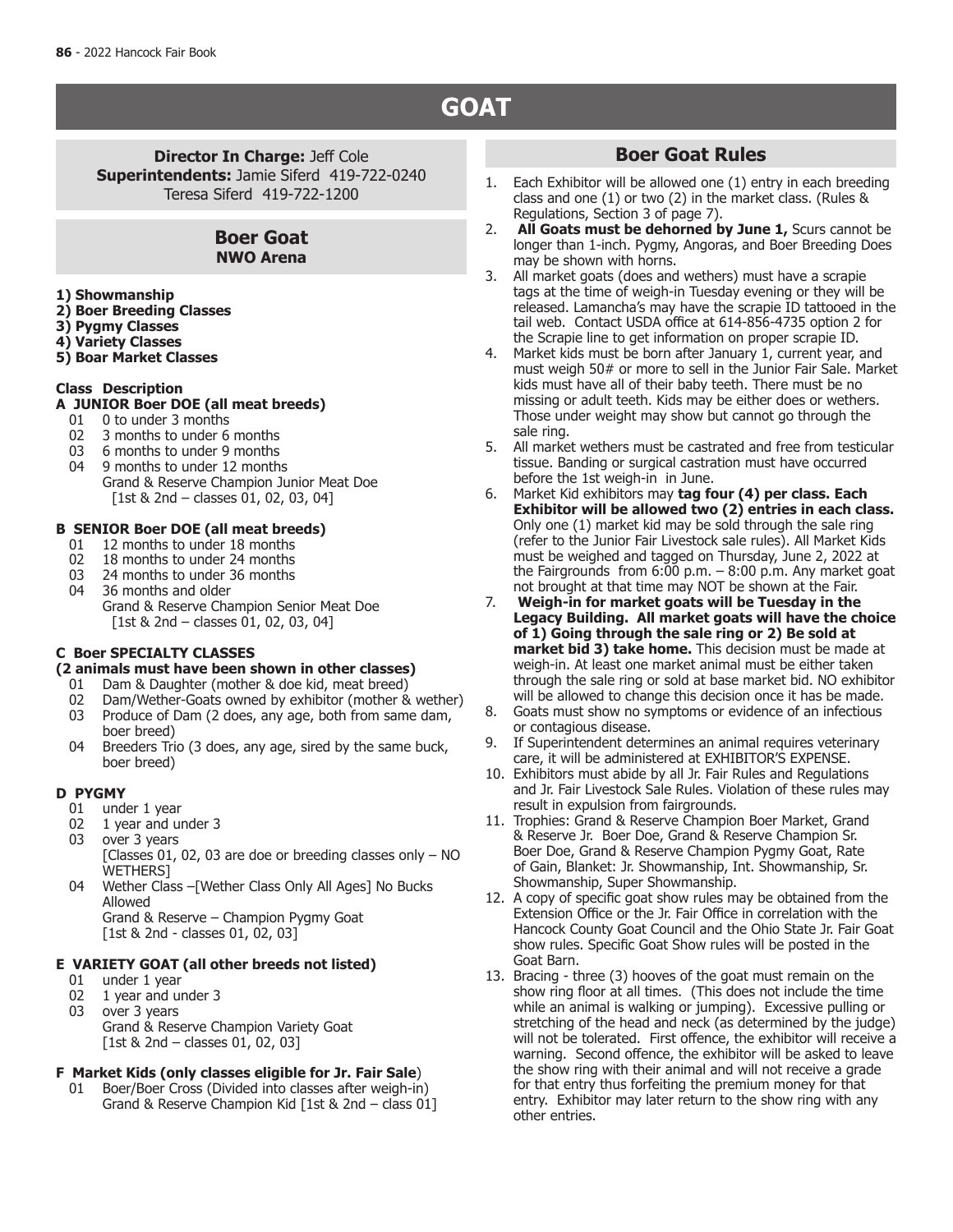## **GOAT**

**Director In Charge: Jeff Cole Superintendents:** Jamie Siferd 419-722-0240 Teresa Siferd 419-722-1200

### **Boer Goat NWO Arena**

- **1) Showmanship**
- **2) Boer Breeding Classes**
- **3) Pygmy Classes**
- **4) Variety Classes**
- **5) Boar Market Classes**

#### **Class Description**

- **A JUNIOR Boer DOE (all meat breeds)**
- 01 0 to under 3 months<br>02 3 months to under 6
- 02 3 months to under 6 months<br>03 6 months to under 9 months
- 03 6 months to under 9 months
- 04 9 months to under 12 months Grand & Reserve Champion Junior Meat Doe [1st & 2nd – classes 01, 02, 03, 04]

#### **B SENIOR Boer DOE (all meat breeds)**

- 01 12 months to under 18 months<br>02 18 months to under 24 months
- 02 18 months to under 24 months<br>03 24 months to under 36 months
- 03 24 months to under 36 months<br>04 36 months and older
- 36 months and older Grand & Reserve Champion Senior Meat Doe [1st & 2nd – classes 01, 02, 03, 04]

#### **C Boer SPECIALTY CLASSES**

## **(2 animals must have been shown in other classes)**

- 01 Dam & Daughter (mother  $\&$  doe kid, meat breed) 02 Dam/Wether-Goats owned by exhibitor (mother  $\&$
- 02 Dam/Wether-Goats owned by exhibitor (mother & wether)<br>03 Produce of Dam (2 does, any age, both from same dam.
- Produce of Dam (2 does, any age, both from same dam, boer breed)
- 04 Breeders Trio (3 does, any age, sired by the same buck, boer breed)

#### **D PYGMY**

- 01 under 1 year<br>02 1 year and ur
- 02 1 year and under 3<br>03 over 3 years
- over 3 years
- [Classes 01, 02, 03 are doe or breeding classes only NO WETHERS]
- 04 Wether Class –[Wether Class Only All Ages] No Bucks Allowed Grand & Reserve – Champion Pygmy Goat

[1st & 2nd - classes 01, 02, 03]

#### **E VARIETY GOAT (all other breeds not listed)**

- 
- 01 under 1 year<br>02 1 year and ur 02 1 year and under 3<br>03 over 3 years
- over 3 years
	- Grand & Reserve Champion Variety Goat [1st & 2nd – classes 01, 02, 03]

#### **F Market Kids (only classes eligible for Jr. Fair Sale**)

 01 Boer/Boer Cross (Divided into classes after weigh-in) Grand & Reserve Champion Kid [1st & 2nd – class 01]

### **Boer Goat Rules**

- 1. Each Exhibitor will be allowed one (1) entry in each breeding class and one (1) or two (2) in the market class. (Rules & Regulations, Section 3 of page 7).
- 2. **All Goats must be dehorned by June 1,** Scurs cannot be longer than 1-inch. Pygmy, Angoras, and Boer Breeding Does may be shown with horns.
- 3. All market goats (does and wethers) must have a scrapie tags at the time of weigh-in Tuesday evening or they will be released. Lamancha's may have the scrapie ID tattooed in the tail web. Contact USDA office at 614-856-4735 option 2 for the Scrapie line to get information on proper scrapie ID.
- 4. Market kids must be born after January 1, current year, and must weigh 50# or more to sell in the Junior Fair Sale. Market kids must have all of their baby teeth. There must be no missing or adult teeth. Kids may be either does or wethers. Those under weight may show but cannot go through the sale ring.
- 5. All market wethers must be castrated and free from testicular tissue. Banding or surgical castration must have occurred before the 1st weigh-in in June.
- 6. Market Kid exhibitors may **tag four (4) per class. Each Exhibitor will be allowed two (2) entries in each class.**  Only one (1) market kid may be sold through the sale ring (refer to the Junior Fair Livestock sale rules). All Market Kids must be weighed and tagged on Thursday, June 2, 2022 at the Fairgrounds from  $6:00$  p.m.  $-8:00$  p.m. Any market goat not brought at that time may NOT be shown at the Fair.
- 7. **Weigh-in for market goats will be Tuesday in the Legacy Building. All market goats will have the choice of 1) Going through the sale ring or 2) Be sold at market bid 3) take home.** This decision must be made at weigh-in. At least one market animal must be either taken through the sale ring or sold at base market bid. NO exhibitor will be allowed to change this decision once it has be made.
- 8. Goats must show no symptoms or evidence of an infectious or contagious disease.
- 9. If Superintendent determines an animal requires veterinary care, it will be administered at EXHIBITOR'S EXPENSE.
- 10. Exhibitors must abide by all Jr. Fair Rules and Regulations and Jr. Fair Livestock Sale Rules. Violation of these rules may result in expulsion from fairgrounds.
- 11. Trophies: Grand & Reserve Champion Boer Market, Grand & Reserve Jr. Boer Doe, Grand & Reserve Champion Sr. Boer Doe, Grand & Reserve Champion Pygmy Goat, Rate of Gain, Blanket: Jr. Showmanship, Int. Showmanship, Sr. Showmanship, Super Showmanship.
- 12. A copy of specific goat show rules may be obtained from the Extension Office or the Jr. Fair Office in correlation with the Hancock County Goat Council and the Ohio State Jr. Fair Goat show rules. Specific Goat Show rules will be posted in the Goat Barn.
- 13. Bracing three (3) hooves of the goat must remain on the show ring floor at all times. (This does not include the time while an animal is walking or jumping). Excessive pulling or stretching of the head and neck (as determined by the judge) will not be tolerated. First offence, the exhibitor will receive a warning. Second offence, the exhibitor will be asked to leave the show ring with their animal and will not receive a grade for that entry thus forfeiting the premium money for that entry. Exhibitor may later return to the show ring with any other entries.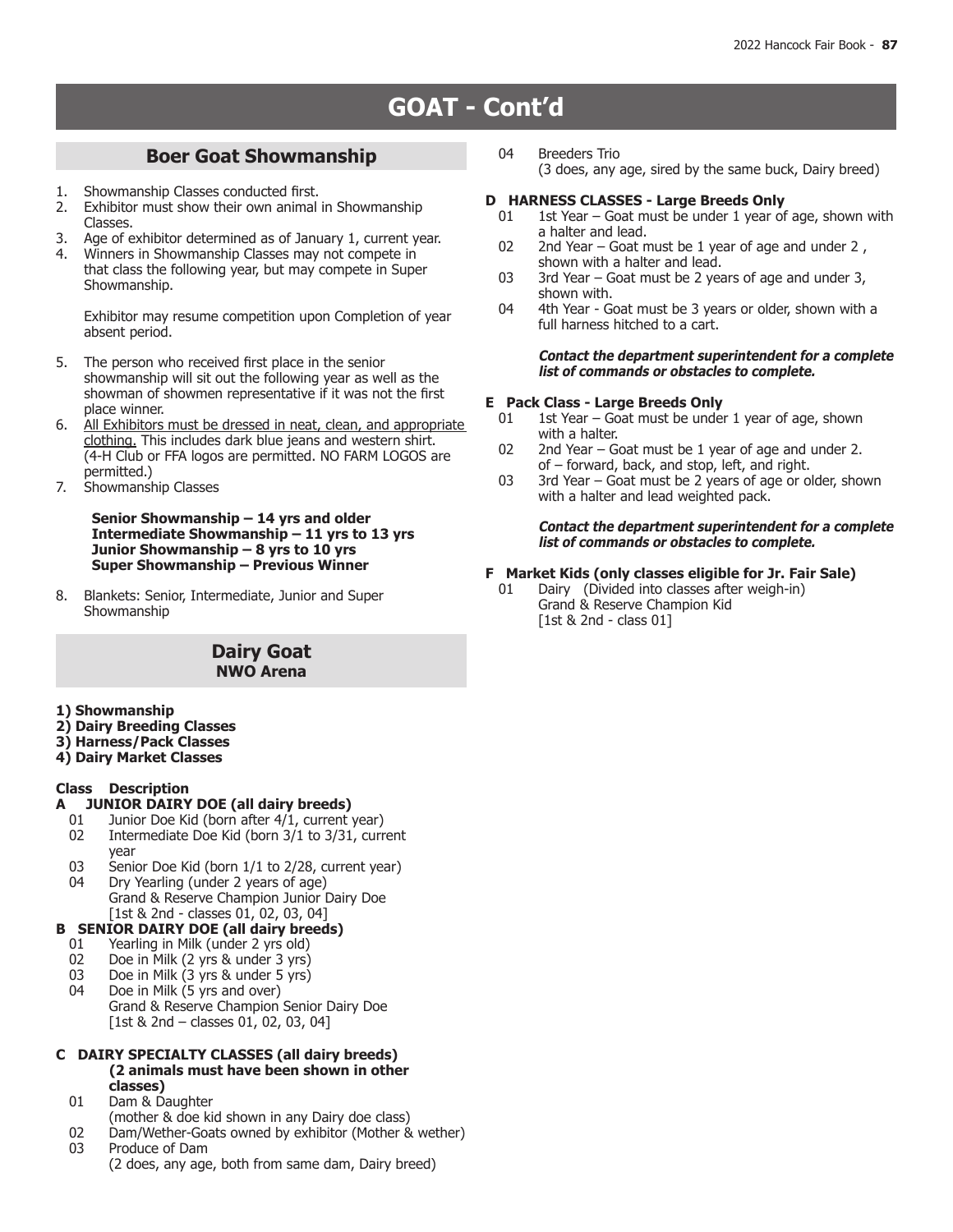# **BAKING, CANNING & CANDY GOAT - Cont'd**

#### **Boer Goat Showmanship**

- 1. Showmanship Classes conducted first.<br>2. Exhibitor must show their own animal
- Exhibitor must show their own animal in Showmanship Classes.
- 3. Age of exhibitor determined as of January 1, current year.<br>4. Winners in Showmanshin Classes may not compete in
- 4. Winners in Showmanship Classes may not compete in that class the following year, but may compete in Super Showmanship.

Exhibitor may resume competition upon Completion of year absent period.

- 5. The person who received first place in the senior showmanship will sit out the following year as well as the showman of showmen representative if it was not the first place winner.
- 6. All Exhibitors must be dressed in neat, clean, and appropriate clothing. This includes dark blue jeans and western shirt. (4-H Club or FFA logos are permitted. NO FARM LOGOS are permitted.)
- 7. Showmanship Classes

#### **Senior Showmanship – 14 yrs and older Intermediate Showmanship – 11 yrs to 13 yrs Junior Showmanship – 8 yrs to 10 yrs Super Showmanship – Previous Winner**

8. Blankets: Senior, Intermediate, Junior and Super Showmanship

#### **Dairy Goat NWO Arena**

- **1) Showmanship**
- **2) Dairy Breeding Classes**
- **3) Harness/Pack Classes**
- **4) Dairy Market Classes**

#### **Class Description**

- **A JUNIOR DAIRY DOE (all dairy breeds)**
	- 01 Junior Doe Kid (born after 4/1, current year)<br>02 Intermediate Doe Kid (born 3/1 to 3/31, curr
	- Intermediate Doe Kid (born 3/1 to 3/31, current year
- 03 Senior Doe Kid (born  $1/1$  to  $2/28$ , current year)<br>04 Dry Yearling (under 2 years of age) Dry Yearling (under 2 years of age) Grand & Reserve Champion Junior Dairy Doe

#### [1st & 2nd - classes 01, 02, 03, 04] **B SENIOR DAIRY DOE (all dairy breeds)**

- 
- 01 Yearling in Milk (under 2 yrs old)<br>02 Doe in Milk (2 yrs & under 3 yrs)
- 02 Doe in Milk (2 yrs & under 3 yrs)<br>03 Doe in Milk (3 yrs & under 5 yrs)
- 03 Doe in Milk (3 yrs & under 5 yrs)<br>04 Doe in Milk (5 yrs and over) Doe in Milk (5 yrs and over) Grand & Reserve Champion Senior Dairy Doe [1st & 2nd – classes 01, 02, 03, 04]

#### **C DAIRY SPECIALTY CLASSES (all dairy breeds) (2 animals must have been shown in other classes)**

- 01 Dam & Daughter
- (mother & doe kid shown in any Dairy doe class)
- 02 Dam/Wether-Goats owned by exhibitor (Mother & wether)<br>03 Produce of Dam Produce of Dam
	- (2 does, any age, both from same dam, Dairy breed)

 04 Breeders Trio (3 does, any age, sired by the same buck, Dairy breed)

# **D HARNESS CLASSES - Large Breeds Only**<br>01 1st Year – Goat must be under 1 year of

- 1st Year Goat must be under 1 year of age, shown with a halter and lead.
- 02 2nd Year Goat must be 1 year of age and under 2, shown with a halter and lead.
- 03 3rd Year Goat must be 2 years of age and under 3, shown with.
- 04 4th Year Goat must be 3 years or older, shown with a full harness hitched to a cart.

#### **Contact the department superintendent for a complete list of commands or obstacles to complete.**

#### **E Pack Class - Large Breeds Only**

- 01 1st Year Goat must be under 1 year of age, shown with a halter.
- 02 2nd Year Goat must be 1 year of age and under 2. of – forward, back, and stop, left, and right.
- 03 3rd Year Goat must be 2 years of age or older, shown with a halter and lead weighted pack.

#### **Contact the department superintendent for a complete list of commands or obstacles to complete.**

## **F Market Kids (only classes eligible for Jr. Fair Sale)**

Dairy (Divided into classes after weigh-in) Grand & Reserve Champion Kid [1st & 2nd - class 01]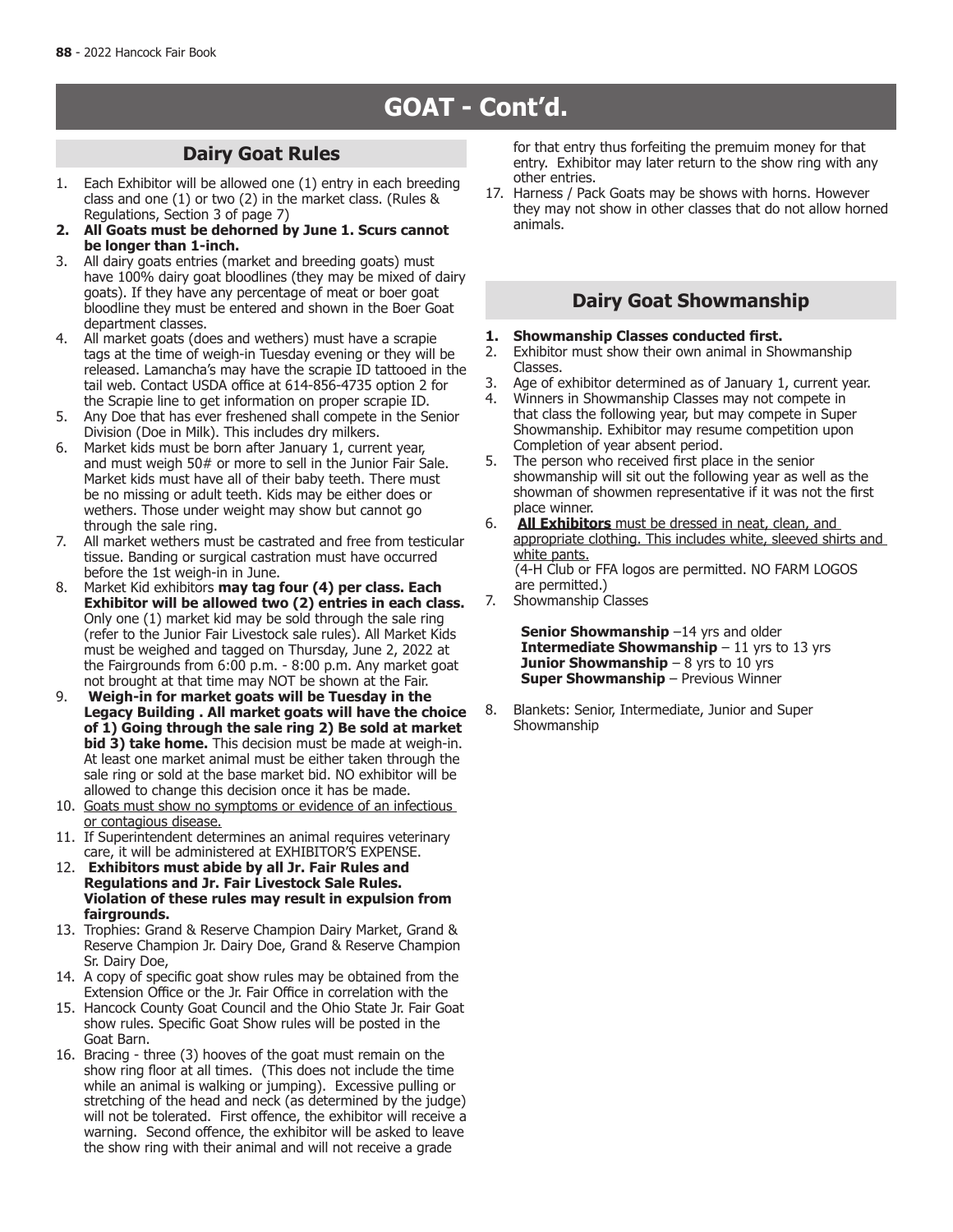# **GOAT - Cont'd.**

## **Dairy Goat Rules**

- 1. Each Exhibitor will be allowed one (1) entry in each breeding class and one (1) or two (2) in the market class. (Rules & Regulations, Section 3 of page 7)
- **2. All Goats must be dehorned by June 1. Scurs cannot be longer than 1-inch.**
- 3. All dairy goats entries (market and breeding goats) must have 100% dairy goat bloodlines (they may be mixed of dairy goats). If they have any percentage of meat or boer goat bloodline they must be entered and shown in the Boer Goat department classes.
- 4. All market goats (does and wethers) must have a scrapie tags at the time of weigh-in Tuesday evening or they will be released. Lamancha's may have the scrapie ID tattooed in the tail web. Contact USDA office at 614-856-4735 option 2 for the Scrapie line to get information on proper scrapie ID.
- 5. Any Doe that has ever freshened shall compete in the Senior Division (Doe in Milk). This includes dry milkers.
- 6. Market kids must be born after January 1, current year, and must weigh 50# or more to sell in the Junior Fair Sale. Market kids must have all of their baby teeth. There must be no missing or adult teeth. Kids may be either does or wethers. Those under weight may show but cannot go through the sale ring.
- 7. All market wethers must be castrated and free from testicular tissue. Banding or surgical castration must have occurred before the 1st weigh-in in June.
- 8. Market Kid exhibitors **may tag four (4) per class. Each Exhibitor will be allowed two (2) entries in each class.** Only one (1) market kid may be sold through the sale ring (refer to the Junior Fair Livestock sale rules). All Market Kids must be weighed and tagged on Thursday, June 2, 2022 at the Fairgrounds from 6:00 p.m. - 8:00 p.m. Any market goat not brought at that time may NOT be shown at the Fair.
- 9. **Weigh-in for market goats will be Tuesday in the Legacy Building . All market goats will have the choice of 1) Going through the sale ring 2) Be sold at market bid 3) take home.** This decision must be made at weigh-in. At least one market animal must be either taken through the sale ring or sold at the base market bid. NO exhibitor will be allowed to change this decision once it has be made.
- 10. Goats must show no symptoms or evidence of an infectious or contagious disease.
- 11. If Superintendent determines an animal requires veterinary care, it will be administered at EXHIBITOR'S EXPENSE.
- 12. **Exhibitors must abide by all Jr. Fair Rules and Regulations and Jr. Fair Livestock Sale Rules. Violation of these rules may result in expulsion from fairgrounds.**
- 13. Trophies: Grand & Reserve Champion Dairy Market, Grand & Reserve Champion Jr. Dairy Doe, Grand & Reserve Champion Sr. Dairy Doe,
- 14. A copy of specific goat show rules may be obtained from the Extension Office or the Jr. Fair Office in correlation with the
- 15. Hancock County Goat Council and the Ohio State Jr. Fair Goat show rules. Specific Goat Show rules will be posted in the Goat Barn.
- 16. Bracing three (3) hooves of the goat must remain on the show ring floor at all times. (This does not include the time while an animal is walking or jumping). Excessive pulling or stretching of the head and neck (as determined by the judge) will not be tolerated. First offence, the exhibitor will receive a warning. Second offence, the exhibitor will be asked to leave the show ring with their animal and will not receive a grade

for that entry thus forfeiting the premuim money for that entry. Exhibitor may later return to the show ring with any other entries.

17. Harness / Pack Goats may be shows with horns. However they may not show in other classes that do not allow horned animals.

## **Dairy Goat Showmanship**

- **1. Showmanship Classes conducted first.**
- Exhibitor must show their own animal in Showmanship Classes.
- 3. Age of exhibitor determined as of January 1, current year.<br>4. Winners in Showmanshin Classes may not compete in
- 4. Winners in Showmanship Classes may not compete in that class the following year, but may compete in Super Showmanship. Exhibitor may resume competition upon Completion of year absent period.
- 5. The person who received first place in the senior showmanship will sit out the following year as well as the showman of showmen representative if it was not the first place winner.
- 6. **All Exhibitors** must be dressed in neat, clean, and appropriate clothing. This includes white, sleeved shirts and white pants. (4-H Club or FFA logos are permitted. NO FARM LOGOS are permitted.)
- 7. Showmanship Classes

**Senior Showmanship** -14 yrs and older **Intermediate Showmanship** – 11 yrs to 13 yrs **Junior Showmanship** – 8 yrs to 10 yrs **Super Showmanship** – Previous Winner

8. Blankets: Senior, Intermediate, Junior and Super Showmanship